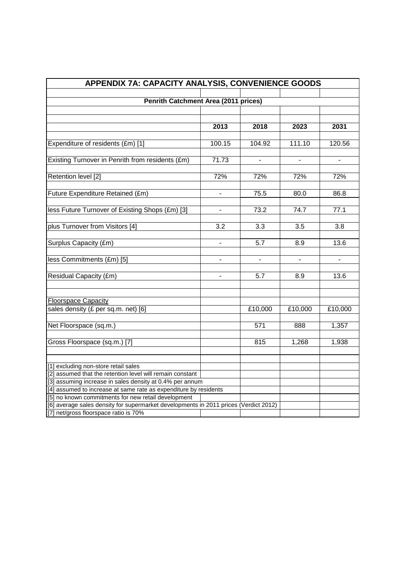| APPENDIX 7A: CAPACITY ANALYSIS, CONVENIENCE GOODS                                    |                |                          |                |                    |
|--------------------------------------------------------------------------------------|----------------|--------------------------|----------------|--------------------|
|                                                                                      |                |                          |                |                    |
| <b>Penrith Catchment Area (2011 prices)</b>                                          |                |                          |                |                    |
|                                                                                      |                |                          |                |                    |
|                                                                                      |                |                          |                |                    |
|                                                                                      | 2013           | 2018                     | 2023           | 2031               |
|                                                                                      |                |                          |                |                    |
| Expenditure of residents (£m) [1]                                                    | 100.15         | 104.92                   | 111.10         | 120.56             |
| Existing Turnover in Penrith from residents (£m)                                     | 71.73          | $\blacksquare$           | $\blacksquare$ | $\blacksquare$     |
|                                                                                      |                |                          |                |                    |
| Retention level [2]                                                                  | 72%            | 72%                      | 72%            | 72%                |
|                                                                                      |                |                          |                |                    |
| Future Expenditure Retained (£m)                                                     |                | 75.5                     | 80.0           | 86.8               |
|                                                                                      |                |                          |                |                    |
| less Future Turnover of Existing Shops (£m) [3]                                      |                | 73.2                     | 74.7           | 77.1               |
|                                                                                      |                |                          |                |                    |
| plus Turnover from Visitors [4]                                                      | 3.2            | 3.3                      | 3.5            | 3.8                |
|                                                                                      |                |                          |                |                    |
| Surplus Capacity (£m)                                                                | ÷.             | 5.7                      | 8.9            | 13.6               |
|                                                                                      |                |                          |                |                    |
| less Commitments (£m) [5]                                                            | $\overline{a}$ | $\overline{\phantom{a}}$ | $\overline{a}$ | $\overline{a}$     |
|                                                                                      |                |                          |                |                    |
| Residual Capacity (£m)                                                               |                | 5.7                      | 8.9            | 13.6               |
|                                                                                      |                |                          |                |                    |
|                                                                                      |                |                          |                |                    |
| <b>Floorspace Capacity</b>                                                           |                |                          |                |                    |
| sales density (£ per sq.m. net) [6]                                                  |                | £10,000                  | £10,000        | £10,000            |
|                                                                                      |                |                          |                |                    |
| Net Floorspace (sq.m.)                                                               |                | 571                      | 888            | $\overline{1,357}$ |
|                                                                                      |                |                          |                |                    |
| Gross Floorspace (sq.m.) [7]                                                         |                | 815                      | 1,268          | 1,938              |
|                                                                                      |                |                          |                |                    |
| [1] excluding non-store retail sales                                                 |                |                          |                |                    |
| [2] assumed that the retention level will remain constant                            |                |                          |                |                    |
| [3] assuming increase in sales density at 0.4% per annum                             |                |                          |                |                    |
| [4] assumed to increase at same rate as expenditure by residents                     |                |                          |                |                    |
| [5] no known commitments for new retail development                                  |                |                          |                |                    |
| [6] average sales density for supermarket developments in 2011 prices (Verdict 2012) |                |                          |                |                    |
| [7] net/gross floorspace ratio is 70%                                                |                |                          |                |                    |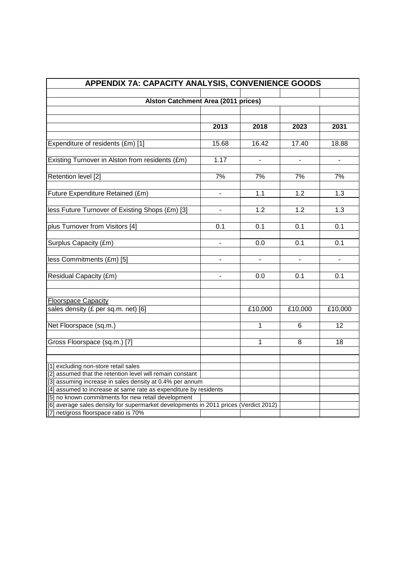| APPENDIX 7A: CAPACITY ANALYSIS, CONVENIENCE GOODS                                                 |                          |                          |                          |                          |
|---------------------------------------------------------------------------------------------------|--------------------------|--------------------------|--------------------------|--------------------------|
|                                                                                                   |                          |                          |                          |                          |
| <b>Alston Catchment Area (2011 prices)</b>                                                        |                          |                          |                          |                          |
|                                                                                                   |                          |                          |                          |                          |
|                                                                                                   | 2013                     | 2018                     | 2023                     | 2031                     |
|                                                                                                   |                          |                          |                          |                          |
| Expenditure of residents (£m) [1]                                                                 | 15.68                    | 16.42                    | 17.40                    | 18.88                    |
|                                                                                                   |                          |                          |                          |                          |
| Existing Turnover in Alston from residents (£m)                                                   | 1.17                     | $\blacksquare$           | $\blacksquare$           | $\overline{\phantom{a}}$ |
|                                                                                                   |                          |                          |                          |                          |
| Retention level [2]                                                                               | 7%                       | 7%                       | 7%                       | 7%                       |
| Future Expenditure Retained (£m)                                                                  |                          | 1.1                      | 1.2                      | 1.3                      |
|                                                                                                   |                          |                          |                          |                          |
| less Future Turnover of Existing Shops (£m) [3]                                                   | -                        | 1.2                      | 1.2                      | 1.3                      |
|                                                                                                   |                          |                          |                          |                          |
| plus Turnover from Visitors [4]                                                                   | 0.1                      | 0.1                      | 0.1                      | 0.1                      |
|                                                                                                   |                          |                          |                          |                          |
| Surplus Capacity (£m)                                                                             | ÷.                       | 0.0                      | 0.1                      | 0.1                      |
| less Commitments (£m) [5]                                                                         | $\overline{\phantom{a}}$ | $\overline{\phantom{a}}$ | $\overline{\phantom{a}}$ | $\overline{a}$           |
|                                                                                                   |                          |                          |                          |                          |
| Residual Capacity (£m)                                                                            |                          | 0.0                      | 0.1                      | 0.1                      |
|                                                                                                   |                          |                          |                          |                          |
|                                                                                                   |                          |                          |                          |                          |
| <b>Floorspace Capacity</b>                                                                        |                          |                          |                          |                          |
| sales density (£ per sq.m. net) [6]                                                               |                          | £10,000                  | £10,000                  | £10,000                  |
| Net Floorspace (sq.m.)                                                                            |                          | 1                        | $6\phantom{1}6$          | 12                       |
|                                                                                                   |                          |                          |                          |                          |
| Gross Floorspace (sq.m.) [7]                                                                      |                          | 1                        | 8                        | 18                       |
|                                                                                                   |                          |                          |                          |                          |
|                                                                                                   |                          |                          |                          |                          |
| [1] excluding non-store retail sales<br>[2] assumed that the retention level will remain constant |                          |                          |                          |                          |
| [3] assuming increase in sales density at 0.4% per annum                                          |                          |                          |                          |                          |
| [4] assumed to increase at same rate as expenditure by residents                                  |                          |                          |                          |                          |
| [5] no known commitments for new retail development                                               |                          |                          |                          |                          |
| [6] average sales density for supermarket developments in 2011 prices (Verdict 2012)              |                          |                          |                          |                          |
| [7] net/gross floorspace ratio is 70%                                                             |                          |                          |                          |                          |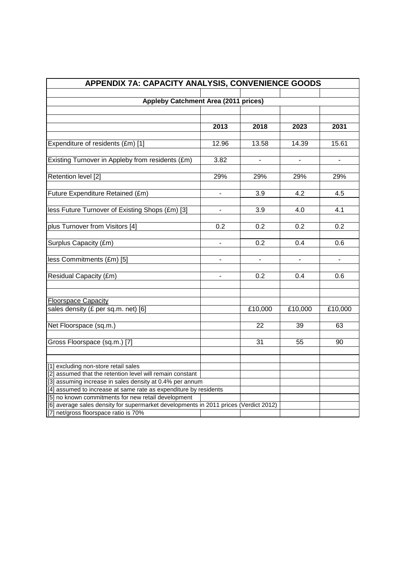| APPENDIX 7A: CAPACITY ANALYSIS, CONVENIENCE GOODS                |                                                                                                                                             |                          |                              |                          |
|------------------------------------------------------------------|---------------------------------------------------------------------------------------------------------------------------------------------|--------------------------|------------------------------|--------------------------|
|                                                                  |                                                                                                                                             |                          |                              |                          |
| <b>Appleby Catchment Area (2011 prices)</b>                      |                                                                                                                                             |                          |                              |                          |
|                                                                  |                                                                                                                                             |                          |                              |                          |
|                                                                  |                                                                                                                                             |                          |                              |                          |
|                                                                  | 2013                                                                                                                                        | 2018                     | 2023                         | 2031                     |
|                                                                  |                                                                                                                                             |                          |                              |                          |
| Expenditure of residents (£m) [1]                                | 12.96                                                                                                                                       | 13.58                    | 14.39                        | 15.61                    |
|                                                                  | 3.82                                                                                                                                        |                          |                              |                          |
| Existing Turnover in Appleby from residents (£m)                 |                                                                                                                                             | $\overline{\phantom{a}}$ | $\overline{\phantom{a}}$     | $\overline{\phantom{0}}$ |
| Retention level [2]                                              | 29%                                                                                                                                         | 29%                      | 29%                          | 29%                      |
|                                                                  |                                                                                                                                             |                          |                              |                          |
| Future Expenditure Retained (£m)                                 |                                                                                                                                             | 3.9                      | 4.2                          | 4.5                      |
|                                                                  |                                                                                                                                             |                          |                              |                          |
| less Future Turnover of Existing Shops (£m) [3]                  |                                                                                                                                             | 3.9                      | 4.0                          | 4.1                      |
|                                                                  |                                                                                                                                             |                          |                              |                          |
| plus Turnover from Visitors [4]                                  | 0.2                                                                                                                                         | 0.2                      | 0.2                          | 0.2                      |
|                                                                  |                                                                                                                                             |                          |                              |                          |
| Surplus Capacity (£m)                                            | ÷.                                                                                                                                          | $\overline{0.2}$         | 0.4                          | 0.6                      |
|                                                                  |                                                                                                                                             |                          |                              |                          |
| less Commitments (£m) [5]                                        | $\qquad \qquad \blacksquare$                                                                                                                | $\blacksquare$           | $\qquad \qquad \blacksquare$ |                          |
|                                                                  |                                                                                                                                             |                          |                              |                          |
| Residual Capacity (£m)                                           |                                                                                                                                             | 0.2                      | 0.4                          | 0.6                      |
|                                                                  |                                                                                                                                             |                          |                              |                          |
| <b>Floorspace Capacity</b>                                       |                                                                                                                                             |                          |                              |                          |
| sales density (£ per sq.m. net) [6]                              |                                                                                                                                             | £10,000                  | £10,000                      | £10,000                  |
|                                                                  |                                                                                                                                             |                          |                              |                          |
| Net Floorspace (sq.m.)                                           |                                                                                                                                             | 22                       | 39                           | 63                       |
|                                                                  |                                                                                                                                             |                          |                              |                          |
| Gross Floorspace (sq.m.) [7]                                     |                                                                                                                                             | 31                       | 55                           | 90                       |
|                                                                  |                                                                                                                                             |                          |                              |                          |
|                                                                  |                                                                                                                                             |                          |                              |                          |
| [1] excluding non-store retail sales                             |                                                                                                                                             |                          |                              |                          |
| [2] assumed that the retention level will remain constant        |                                                                                                                                             |                          |                              |                          |
| [3] assuming increase in sales density at 0.4% per annum         |                                                                                                                                             |                          |                              |                          |
| [4] assumed to increase at same rate as expenditure by residents |                                                                                                                                             |                          |                              |                          |
|                                                                  | [5] no known commitments for new retail development<br>[6] average sales density for supermarket developments in 2011 prices (Verdict 2012) |                          |                              |                          |
| [7] net/gross floorspace ratio is 70%                            |                                                                                                                                             |                          |                              |                          |